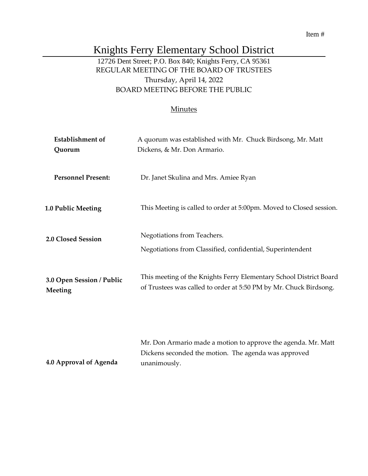# Knights Ferry Elementary School District

## 12726 Dent Street; P.O. Box 840; Knights Ferry, CA 95361 REGULAR MEETING OF THE BOARD OF TRUSTEES Thursday, April 14, 2022 BOARD MEETING BEFORE THE PUBLIC

## **Minutes**

| <b>Establishment</b> of<br>Quorum    | A quorum was established with Mr. Chuck Birdsong, Mr. Matt<br>Dickens, & Mr. Don Armario.                                               |
|--------------------------------------|-----------------------------------------------------------------------------------------------------------------------------------------|
| <b>Personnel Present:</b>            | Dr. Janet Skulina and Mrs. Amiee Ryan                                                                                                   |
| <b>1.0 Public Meeting</b>            | This Meeting is called to order at 5:00pm. Moved to Closed session.                                                                     |
| 2.0 Closed Session                   | Negotiations from Teachers.<br>Negotiations from Classified, confidential, Superintendent                                               |
| 3.0 Open Session / Public<br>Meeting | This meeting of the Knights Ferry Elementary School District Board<br>of Trustees was called to order at 5:50 PM by Mr. Chuck Birdsong. |
| 4.0 Approval of Agenda               | Mr. Don Armario made a motion to approve the agenda. Mr. Matt<br>Dickens seconded the motion. The agenda was approved<br>unanimously.   |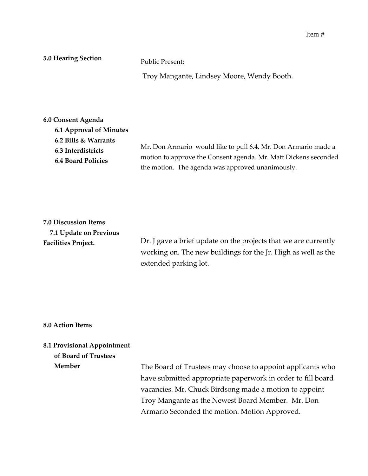## **5.0 Hearing Section**

Public Present:

Troy Mangante, Lindsey Moore, Wendy Booth.

| 6.0 Consent Agenda        |                                                                 |
|---------------------------|-----------------------------------------------------------------|
| 6.1 Approval of Minutes   |                                                                 |
| 6.2 Bills & Warrants      |                                                                 |
| 6.3 Interdistricts        | Mr. Don Armario would like to pull 6.4. Mr. Don Armario made a  |
| <b>6.4 Board Policies</b> | motion to approve the Consent agenda. Mr. Matt Dickens seconded |
|                           | the motion. The agenda was approved unanimously.                |

| <b>7.0 Discussion Items</b> |
|-----------------------------|
| 7.1 Update on Previous      |
| <b>Facilities Project.</b>  |

Dr. J gave a brief update on the projects that we are currently working on. The new buildings for the Jr. High as well as the extended parking lot.

## **8.0 Action Items**

## **8.1 Provisional Appointment**

**of Board of Trustees** 

**Member**

The Board of Trustees may choose to appoint applicants who have submitted appropriate paperwork in order to fill board vacancies. Mr. Chuck Birdsong made a motion to appoint Troy Mangante as the Newest Board Member. Mr. Don Armario Seconded the motion. Motion Approved.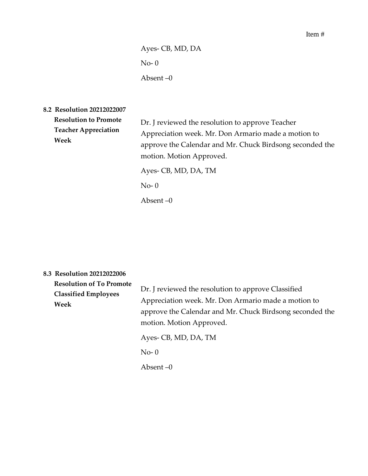Ayes- CB, MD, DA No- 0 Absent –0

**8.2 Resolution 20212022007** 

| <b>Resolution to Promote</b><br><b>Teacher Appreciation</b><br>Week | Dr. J reviewed the resolution to approve Teacher<br>Appreciation week. Mr. Don Armario made a motion to<br>approve the Calendar and Mr. Chuck Birdsong seconded the<br>motion. Motion Approved.<br>Ayes- CB, MD, DA, TM<br>$No-0$ |
|---------------------------------------------------------------------|-----------------------------------------------------------------------------------------------------------------------------------------------------------------------------------------------------------------------------------|
|                                                                     | Absent $-0$                                                                                                                                                                                                                       |

| 8.3 Resolution 20212022006 |  |  |  |  |  |
|----------------------------|--|--|--|--|--|
|----------------------------|--|--|--|--|--|

| <b>Resolution of To Promote</b><br><b>Classified Employees</b><br>Week | Dr. J reviewed the resolution to approve Classified<br>Appreciation week. Mr. Don Armario made a motion to<br>approve the Calendar and Mr. Chuck Birdsong seconded the<br>motion. Motion Approved. |
|------------------------------------------------------------------------|----------------------------------------------------------------------------------------------------------------------------------------------------------------------------------------------------|
|                                                                        | Ayes- CB, MD, DA, TM<br>$No-0$<br>Absent –0                                                                                                                                                        |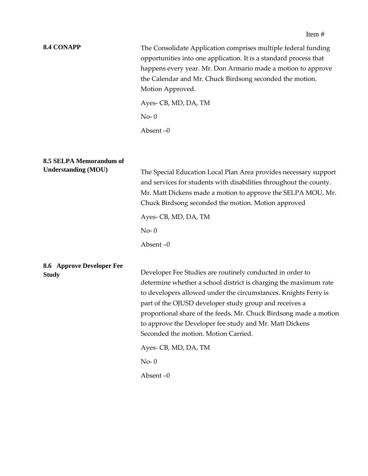#### **8.4 CONAPP**

The Consolidate Application comprises multiple federal funding opportunities into one application. It is a standard process that happens every year. Mr. Don Armario made a motion to approve the Calendar and Mr. Chuck Birdsong seconded the motion. Motion Approved.

Ayes- CB, MD, DA, TM  $No-0$ 

Absent –0

#### **8.5 SELPA Memorandum of Understanding (MOU)**

The Special Education Local Plan Area provides necessary support and services for students with disabilities throughout the county. Mr. Matt Dickens made a motion to approve the SELPA MOU, Mr. Chuck Birdsong seconded the motion. Motion approved

Ayes- CB, MD, DA, TM

 $No-0$ 

Absent –0

## **8.6 Approve Developer Fee Study**

Developer Fee Studies are routinely conducted in order to determine whether a school district is charging the maximum rate to developers allowed under the circumstances. Knights Ferry is part of the OJUSD developer study group and receives a proportional share of the feeds. Mr. Chuck Birdsong made a motion to approve the Developer fee study and Mr. Matt Dickens Seconded the motion. Motion Carried.

Ayes- CB, MD, DA, TM

 $No-<sub>0</sub>$ 

Absent –0